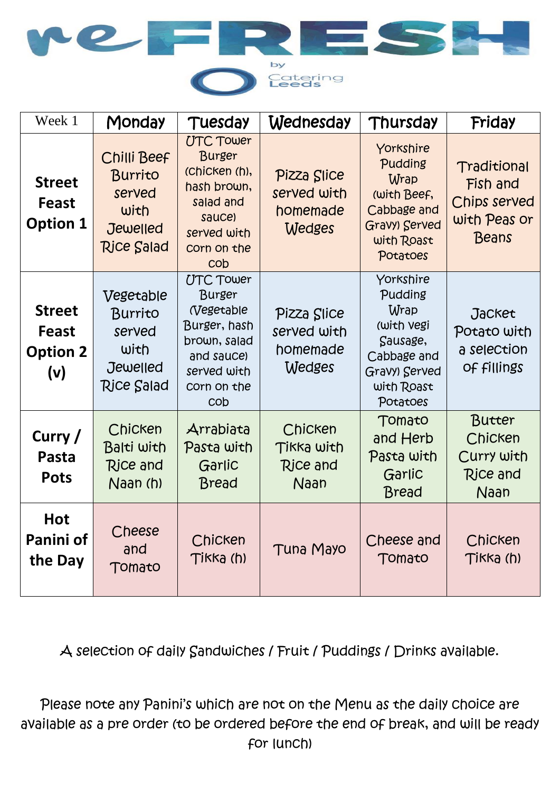

| Week 1                                                  | Monday                                                                                  | Tuesday                                                                                                                                         | Wednesday                                               | Thursday                                                                                                         | Friday                                                           |
|---------------------------------------------------------|-----------------------------------------------------------------------------------------|-------------------------------------------------------------------------------------------------------------------------------------------------|---------------------------------------------------------|------------------------------------------------------------------------------------------------------------------|------------------------------------------------------------------|
| <b>Street</b><br><b>Feast</b><br><b>Option 1</b>        | Chilli Beef<br><b>Burrito</b><br>served<br>with<br><b>Jewelled</b><br><b>Rice Salad</b> | <b>UTC Tower</b><br><b>Burger</b><br>(Chicken (h),<br>hash brown,<br>salad and<br>sauce)<br>served with<br>corn on the<br>cob                   | Pizza Slice<br>served with<br>homemade<br>Wedges        | Yorkshire<br>Pudding<br>Wrap<br>(with Beef,<br>Cabbage and<br>Gravy) Served<br>with Roast<br>Potatoes            | Traditional<br>Fish and<br>Chips served<br>with Peas or<br>Beans |
| <b>Street</b><br><b>Feast</b><br><b>Option 2</b><br>(v) | Vegetable<br>Burrito<br>served<br>with<br>Jewelled<br><b>Rice Salad</b>                 | <b>UTC Tower</b><br>Burger<br><i><b>Negetable</b></i><br>Burger, hash<br>brown, salad<br>and sauce)<br>served with<br>corn on the<br><b>COD</b> | Pizza Slice<br>served with<br>homemade<br><b>Wedges</b> | Yorkshire<br>Pudding<br>Wrap<br>(with vegi<br>Sausage,<br>Cabbage and<br>Gravy) Served<br>with Roast<br>Potatoes | <b>Jacket</b><br>Potato with<br>a selection<br>Of fillings       |
| Curry /<br>Pasta<br><b>Pots</b>                         | Chicken<br>Balti with<br><b>Rice and</b><br>Naan (h)                                    | Arrabiata<br>Pasta with<br>Garlic<br><b>Bread</b>                                                                                               | Chicken<br>Tikka with<br>Rice and<br>Naan               | Tomato<br>and Herb<br>Pasta with<br>Garlic<br>Bread                                                              | Butter<br>Chicken<br>Curry with<br><b>Rice and</b><br>Naan       |
| <b>Hot</b><br>Panini of<br>the Day                      | Cheese<br>and<br>Tomato                                                                 | Chicken<br>Tikka (h)                                                                                                                            | <b>Tuna Mayo</b>                                        | Cheese and<br>Tomato                                                                                             | Chicken<br>Tikka (h)                                             |

A selection of daily Sandwiches / Fruit / Puddings / Drinks available.

Please note any Panini's which are not on the Menu as the daily choice are available as a pre order (to be ordered before the end of break, and will be ready for lunch)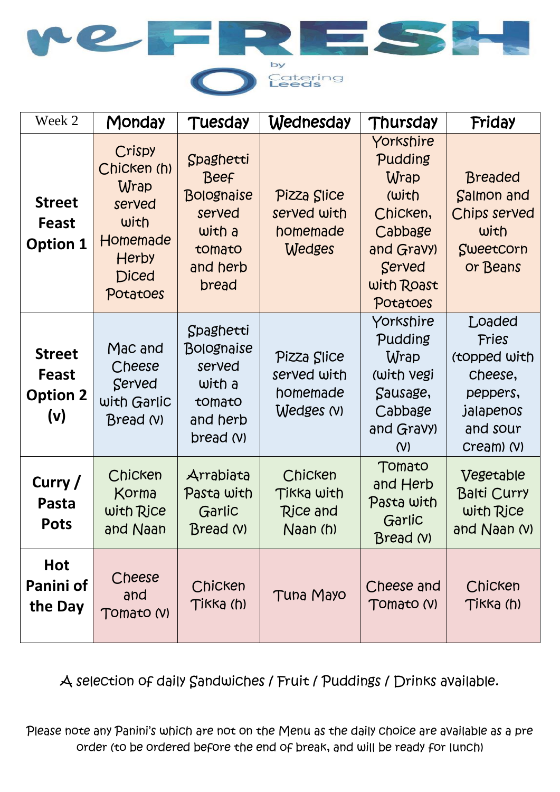

| Week 2                                           | Monday                                                                                                  | Tuesday                                                                                          | Wednesday                                               | Thursday                                                                                                       | Friday                                                                                        |
|--------------------------------------------------|---------------------------------------------------------------------------------------------------------|--------------------------------------------------------------------------------------------------|---------------------------------------------------------|----------------------------------------------------------------------------------------------------------------|-----------------------------------------------------------------------------------------------|
| <b>Street</b><br>Feast<br><b>Option 1</b>        | Crispy<br>Chicken (h)<br>Wrap<br>served<br>with<br>Homemade<br><b>Herby</b><br><b>Diced</b><br>Potatoes | Spaghetti<br><b>Beef</b><br><b>Bolognaise</b><br>served<br>with a<br>tomato<br>and herb<br>bread | Pizza Slice<br>served with<br>homemade<br><b>Wedges</b> | Yorkshire<br>Pudding<br>Wrap<br>(with<br>Chicken,<br>Cabbage<br>and Gravy)<br>Served<br>with Roast<br>Potatoes | <b>Breaded</b><br>Salmon and<br>Chips served<br>with<br>Sweetcorn<br>or Beans                 |
| <b>Street</b><br>Feast<br><b>Option 2</b><br>(v) | Mac and<br>Cheese<br>Served<br>with Garlic<br>Bread (V)                                                 | Spaghetti<br>Bolognaise<br>served<br>with a<br>tomato<br>and herb<br>bread (V)                   | Pizza Slice<br>served with<br>homemade<br>Wedges (V)    | Yorkshire<br>Pudding<br>Wrap<br>(with vegi<br>Sausage,<br>Cabbage<br>and Gravy)<br>(V)                         | Loaded<br>Fries<br>(topped with<br>cheese,<br>peppers,<br>jalapenos<br>and sour<br>Cream) (V) |
| Curry /<br>Pasta<br><b>Pots</b>                  | Chicken<br>Korma<br>with Rice<br>and Naan                                                               | Arrabiata<br>Pasta with<br>Garlic<br>Bread (V)                                                   | Chicken<br>Tikka with<br>Rice and<br>Naan (h)           | Tomato<br>and Herb<br>Pasta with<br>Garlic<br>Bread (V)                                                        | Vegetable<br><b>Balti Curry</b><br>with Rice<br>and $N$ aan $N$ )                             |
| <b>Hot</b><br>Panini of<br>the Day               | Cheese<br>and<br>Tomato (V)                                                                             | Chicken<br>Tikka (h)                                                                             | <b>Tuna Mayo</b>                                        | Cheese and<br>Tomato (V)                                                                                       | Chicken<br>Tikka (h)                                                                          |

A selection of daily Sandwiches / Fruit / Puddings / Drinks available.

Please note any Panini's which are not on the Menu as the daily choice are available as a pre order (to be ordered before the end of break, and will be ready for lunch)